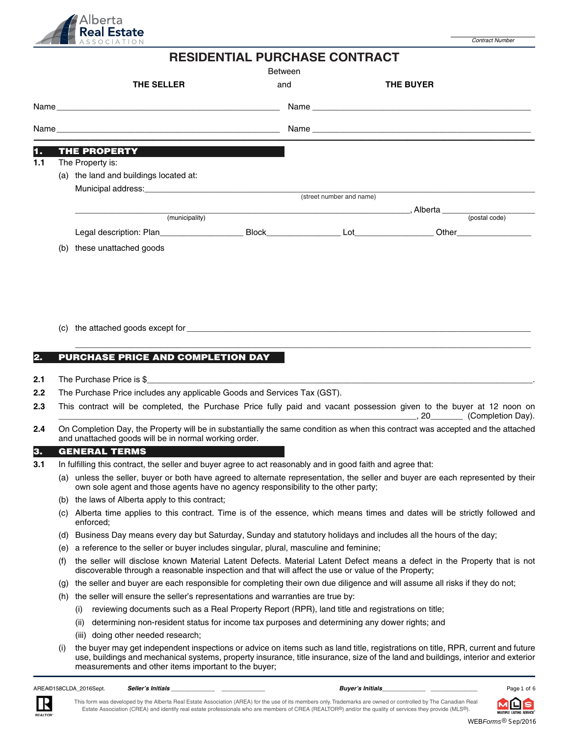

| <b>RESIDENTIAL PURCHASE CONTRACT</b><br><b>Between</b> |                                                                                                                                                                                                                       |     |                          |                       |  |  |  |
|--------------------------------------------------------|-----------------------------------------------------------------------------------------------------------------------------------------------------------------------------------------------------------------------|-----|--------------------------|-----------------------|--|--|--|
|                                                        | THE SELLER                                                                                                                                                                                                            | and |                          | <b>THE BUYER</b>      |  |  |  |
|                                                        |                                                                                                                                                                                                                       |     |                          |                       |  |  |  |
|                                                        |                                                                                                                                                                                                                       |     |                          |                       |  |  |  |
| 1.                                                     | <b>THE PROPERTY AND READ PROPERTY</b>                                                                                                                                                                                 |     |                          |                       |  |  |  |
| 1.1                                                    | The Property is:                                                                                                                                                                                                      |     |                          |                       |  |  |  |
|                                                        | (a) the land and buildings located at:                                                                                                                                                                                |     |                          |                       |  |  |  |
|                                                        |                                                                                                                                                                                                                       |     | (street number and name) |                       |  |  |  |
|                                                        |                                                                                                                                                                                                                       |     |                          |                       |  |  |  |
|                                                        | (municipality)                                                                                                                                                                                                        |     |                          | Alberta (postal code) |  |  |  |
|                                                        | Legal description: Plan________________________Block__________________Lot_________________Other_______________                                                                                                        |     |                          |                       |  |  |  |
|                                                        | (b) these unattached goods                                                                                                                                                                                            |     |                          |                       |  |  |  |
|                                                        |                                                                                                                                                                                                                       |     |                          |                       |  |  |  |
| 2.                                                     | <b>PURCHASE PRICE AND COMPLETION DAY</b>                                                                                                                                                                              |     |                          |                       |  |  |  |
| 2.1                                                    | The Purchase Price is $\frac{6}{3}$                                                                                                                                                                                   |     |                          |                       |  |  |  |
| 2.2                                                    | The Purchase Price includes any applicable Goods and Services Tax (GST).                                                                                                                                              |     |                          |                       |  |  |  |
| 2.3                                                    | This contract will be completed, the Purchase Price fully paid and vacant possession given to the buyer at 12 noon on                                                                                                 |     |                          |                       |  |  |  |
| 2.4                                                    | On Completion Day, the Property will be in substantially the same condition as when this contract was accepted and the attached<br>and unattached goods will be in normal working order.                              |     |                          |                       |  |  |  |
| 3.                                                     | <b>GENERAL TERMS</b>                                                                                                                                                                                                  |     |                          |                       |  |  |  |
| 3.1                                                    | In fulfilling this contract, the seller and buyer agree to act reasonably and in good faith and agree that:                                                                                                           |     |                          |                       |  |  |  |
|                                                        | (a) unless the seller, buyer or both have agreed to alternate representation, the seller and buyer are each represented by their<br>own sole agent and those agents have no agency responsibility to the other party; |     |                          |                       |  |  |  |
|                                                        | (b) the laws of Alberta apply to this contract;                                                                                                                                                                       |     |                          |                       |  |  |  |
|                                                        | (c) Alberta time applies to this contract. Time is of the essence, which means times and dates will be strictly followed and                                                                                          |     |                          |                       |  |  |  |

- (d) Business Day means every day but Saturday, Sunday and statutory holidays and includes all the hours of the day;
- (e) a reference to the seller or buyer includes singular, plural, masculine and feminine;
- (f) the seller will disclose known Material Latent Defects. Material Latent Defect means a defect in the Property that is not discoverable through a reasonable inspection and that will affect the use or value of the Property;
- (g) the seller and buyer are each responsible for completing their own due diligence and will assume all risks if they do not;
- (h) the seller will ensure the seller's representations and warranties are true by:
	- (i) reviewing documents such as a Real Property Report (RPR), land title and registrations on title;
	- (ii) determining non-resident status for income tax purposes and determining any dower rights; and
	- (iii) doing other needed research;
- (i) the buyer may get independent inspections or advice on items such as land title, registrations on title, RPR, current and future use, buildings and mechanical systems, property insurance, title insurance, size of the land and buildings, interior and exterior measurements and other items important to the buyer;

AREA©158CLDA\_2016Sept. *Seller's Initials \_\_\_\_\_\_\_\_\_\_\_\_\_ \_\_\_\_\_\_\_\_\_\_\_\_\_ Buyer's Initials\_\_\_\_\_\_\_\_\_\_\_\_\_ \_\_\_\_\_\_\_\_\_\_\_\_\_\_* Page of

enforced;

Page 1 of 6

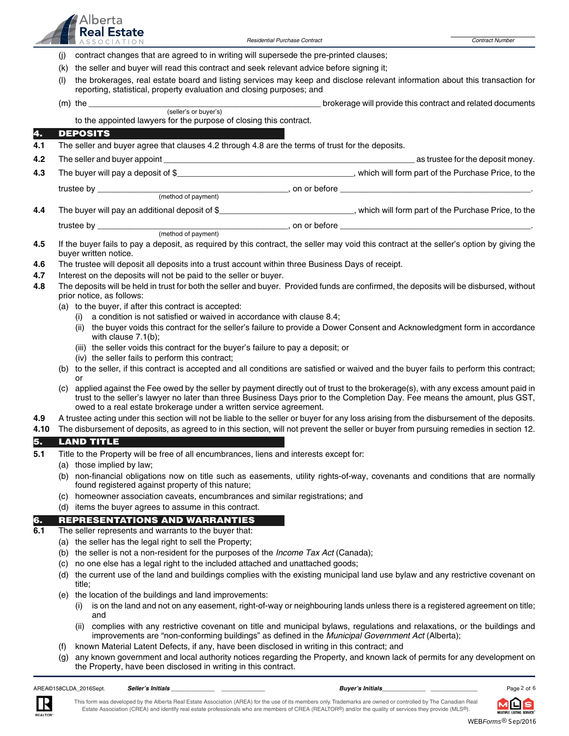

- (j) contract changes that are agreed to in writing will supersede the pre-printed clauses;
- (k) the seller and buyer will read this contract and seek relevant advice before signing it;
- (l) the brokerages, real estate board and listing services may keep and disclose relevant information about this transaction for reporting, statistical, property evaluation and closing purposes; and

|      |                                                                                                                                                                                                                                                                                                                                             | roporting, statistical, proporty cyaludition and closing parposes, and                                                                                                                                                            |                                                            |  |  |  |  |  |
|------|---------------------------------------------------------------------------------------------------------------------------------------------------------------------------------------------------------------------------------------------------------------------------------------------------------------------------------------------|-----------------------------------------------------------------------------------------------------------------------------------------------------------------------------------------------------------------------------------|------------------------------------------------------------|--|--|--|--|--|
|      |                                                                                                                                                                                                                                                                                                                                             | $(m)$ the<br>(seller's or buyer's)                                                                                                                                                                                                | brokerage will provide this contract and related documents |  |  |  |  |  |
|      |                                                                                                                                                                                                                                                                                                                                             | to the appointed lawyers for the purpose of closing this contract.                                                                                                                                                                |                                                            |  |  |  |  |  |
| 4.   |                                                                                                                                                                                                                                                                                                                                             | <b>DEPOSITS</b>                                                                                                                                                                                                                   |                                                            |  |  |  |  |  |
| 4.1  |                                                                                                                                                                                                                                                                                                                                             | The seller and buyer agree that clauses 4.2 through 4.8 are the terms of trust for the deposits.                                                                                                                                  |                                                            |  |  |  |  |  |
| 4.2  |                                                                                                                                                                                                                                                                                                                                             |                                                                                                                                                                                                                                   |                                                            |  |  |  |  |  |
| 4.3  |                                                                                                                                                                                                                                                                                                                                             |                                                                                                                                                                                                                                   |                                                            |  |  |  |  |  |
|      |                                                                                                                                                                                                                                                                                                                                             |                                                                                                                                                                                                                                   |                                                            |  |  |  |  |  |
|      |                                                                                                                                                                                                                                                                                                                                             |                                                                                                                                                                                                                                   |                                                            |  |  |  |  |  |
| 4.4  |                                                                                                                                                                                                                                                                                                                                             | The buyer will pay an additional deposit of \$________________________________, which will form part of the Purchase Price, to the                                                                                                |                                                            |  |  |  |  |  |
|      |                                                                                                                                                                                                                                                                                                                                             |                                                                                                                                                                                                                                   |                                                            |  |  |  |  |  |
|      |                                                                                                                                                                                                                                                                                                                                             |                                                                                                                                                                                                                                   |                                                            |  |  |  |  |  |
| 4.5  |                                                                                                                                                                                                                                                                                                                                             | If the buyer fails to pay a deposit, as required by this contract, the seller may void this contract at the seller's option by giving the<br>buyer written notice.                                                                |                                                            |  |  |  |  |  |
| 4.6  |                                                                                                                                                                                                                                                                                                                                             | The trustee will deposit all deposits into a trust account within three Business Days of receipt.                                                                                                                                 |                                                            |  |  |  |  |  |
| 4.7  |                                                                                                                                                                                                                                                                                                                                             | Interest on the deposits will not be paid to the seller or buyer.                                                                                                                                                                 |                                                            |  |  |  |  |  |
| 4.8  |                                                                                                                                                                                                                                                                                                                                             | The deposits will be held in trust for both the seller and buyer. Provided funds are confirmed, the deposits will be disbursed, without<br>prior notice, as follows:                                                              |                                                            |  |  |  |  |  |
|      |                                                                                                                                                                                                                                                                                                                                             | (a) to the buyer, if after this contract is accepted:                                                                                                                                                                             |                                                            |  |  |  |  |  |
|      |                                                                                                                                                                                                                                                                                                                                             | a condition is not satisfied or waived in accordance with clause 8.4;<br>$\left( 1\right)$                                                                                                                                        |                                                            |  |  |  |  |  |
|      |                                                                                                                                                                                                                                                                                                                                             | the buyer voids this contract for the seller's failure to provide a Dower Consent and Acknowledgment form in accordance<br>(ii)<br>with clause $7.1(b)$ ;                                                                         |                                                            |  |  |  |  |  |
|      |                                                                                                                                                                                                                                                                                                                                             | (iii) the seller voids this contract for the buyer's failure to pay a deposit; or                                                                                                                                                 |                                                            |  |  |  |  |  |
|      |                                                                                                                                                                                                                                                                                                                                             | (iv) the seller fails to perform this contract;                                                                                                                                                                                   |                                                            |  |  |  |  |  |
|      |                                                                                                                                                                                                                                                                                                                                             | (b) to the seller, if this contract is accepted and all conditions are satisfied or waived and the buyer fails to perform this contract;<br>or                                                                                    |                                                            |  |  |  |  |  |
|      | applied against the Fee owed by the seller by payment directly out of trust to the brokerage(s), with any excess amount paid in<br>(C)<br>trust to the seller's lawyer no later than three Business Days prior to the Completion Day. Fee means the amount, plus GST,<br>owed to a real estate brokerage under a written service agreement. |                                                                                                                                                                                                                                   |                                                            |  |  |  |  |  |
| 4.9  |                                                                                                                                                                                                                                                                                                                                             | A trustee acting under this section will not be liable to the seller or buyer for any loss arising from the disbursement of the deposits.                                                                                         |                                                            |  |  |  |  |  |
| 4.10 |                                                                                                                                                                                                                                                                                                                                             | The disbursement of deposits, as agreed to in this section, will not prevent the seller or buyer from pursuing remedies in section 12.                                                                                            |                                                            |  |  |  |  |  |
| 5.   |                                                                                                                                                                                                                                                                                                                                             | <b>LAND TITLE</b>                                                                                                                                                                                                                 |                                                            |  |  |  |  |  |
| 5.1  |                                                                                                                                                                                                                                                                                                                                             | Title to the Property will be free of all encumbrances, liens and interests except for:                                                                                                                                           |                                                            |  |  |  |  |  |
|      |                                                                                                                                                                                                                                                                                                                                             | (a) those implied by law;                                                                                                                                                                                                         |                                                            |  |  |  |  |  |
|      |                                                                                                                                                                                                                                                                                                                                             | (b) non-financial obligations now on title such as easements, utility rights-of-way, covenants and conditions that are normally<br>found registered against property of this nature;                                              |                                                            |  |  |  |  |  |
|      | (c)                                                                                                                                                                                                                                                                                                                                         | homeowner association caveats, encumbrances and similar registrations; and                                                                                                                                                        |                                                            |  |  |  |  |  |
|      |                                                                                                                                                                                                                                                                                                                                             | (d) items the buyer agrees to assume in this contract.                                                                                                                                                                            |                                                            |  |  |  |  |  |
| 6.   |                                                                                                                                                                                                                                                                                                                                             | <b>REPRESENTATIONS AND WARRANTIES</b>                                                                                                                                                                                             |                                                            |  |  |  |  |  |
| 6.1  |                                                                                                                                                                                                                                                                                                                                             | The seller represents and warrants to the buyer that:                                                                                                                                                                             |                                                            |  |  |  |  |  |
|      |                                                                                                                                                                                                                                                                                                                                             | (a) the seller has the legal right to sell the Property;                                                                                                                                                                          |                                                            |  |  |  |  |  |
|      | (b)                                                                                                                                                                                                                                                                                                                                         | the seller is not a non-resident for the purposes of the Income Tax Act (Canada);                                                                                                                                                 |                                                            |  |  |  |  |  |
|      | (c)<br>(d)                                                                                                                                                                                                                                                                                                                                  | no one else has a legal right to the included attached and unattached goods;<br>the current use of the land and buildings complies with the existing municipal land use bylaw and any restrictive covenant on                     |                                                            |  |  |  |  |  |
|      |                                                                                                                                                                                                                                                                                                                                             | title;                                                                                                                                                                                                                            |                                                            |  |  |  |  |  |
|      | (e)                                                                                                                                                                                                                                                                                                                                         | the location of the buildings and land improvements:                                                                                                                                                                              |                                                            |  |  |  |  |  |
|      |                                                                                                                                                                                                                                                                                                                                             | is on the land and not on any easement, right-of-way or neighbouring lands unless there is a registered agreement on title;<br>and                                                                                                |                                                            |  |  |  |  |  |
|      |                                                                                                                                                                                                                                                                                                                                             | (ii) complies with any restrictive covenant on title and municipal bylaws, regulations and relaxations, or the buildings and<br>improvements are "non-conforming buildings" as defined in the Municipal Government Act (Alberta); |                                                            |  |  |  |  |  |
|      | (t)                                                                                                                                                                                                                                                                                                                                         | known Material Latent Defects, if any, have been disclosed in writing in this contract; and                                                                                                                                       |                                                            |  |  |  |  |  |
|      | (q)                                                                                                                                                                                                                                                                                                                                         | any known government and local authority notices regarding the Property, and known lack of permits for any development on                                                                                                         |                                                            |  |  |  |  |  |

the Property, have been disclosed in writing in this contract.

AREA©158CLDA\_2016Sept. Seller's Initials

*Seller's Initials \_\_\_\_\_\_\_\_\_\_\_\_\_ \_\_\_\_\_\_\_\_\_\_\_\_\_ Buyer's Initials\_\_\_\_\_\_\_\_\_\_\_\_\_ \_\_\_\_\_\_\_\_\_\_\_\_\_\_*

Page 2 of 6 囗

MULTIPLE LISTING SERVICE

s

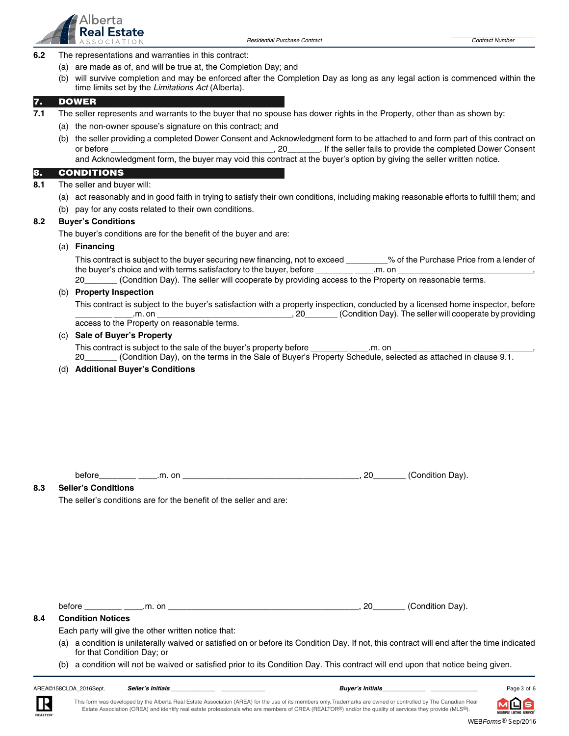

- **6.2** The representations and warranties in this contract:
	- (a) are made as of, and will be true at, the Completion Day; and
	- (b) will survive completion and may be enforced after the Completion Day as long as any legal action is commenced within the time limits set by the Limitations Act (Alberta).

# **7. DOWER**

- **7.1** The seller represents and warrants to the buyer that no spouse has dower rights in the Property, other than as shown by:
	- (a) the non-owner spouse's signature on this contract; and
	- (b) the seller providing a completed Dower Consent and Acknowledgment form to be attached to and form part of this contract on or before \_\_\_\_\_\_\_\_\_\_\_\_\_\_\_\_\_\_\_\_\_\_\_\_\_\_\_\_\_\_\_\_\_\_\_, 20\_\_\_\_\_\_\_. If the seller fails to provide the completed Dower Consent and Acknowledgment form, the buyer may void this contract at the buyer's option by giving the seller written notice.

# **8. CONDITIONS**

- **8.1** The seller and buyer will:
	- (a) act reasonably and in good faith in trying to satisfy their own conditions, including making reasonable efforts to fulfill them; and
	- (b) pay for any costs related to their own conditions.

# **8.2 Buyer's Conditions**

The buyer's conditions are for the benefit of the buyer and are:

# (a) **Financing**

This contract is subject to the buyer securing new financing, not to exceed \_\_\_\_\_\_\_% of the Purchase Price from a lender of the buyer's choice and with terms satisfactory to the buyer, before \_\_\_\_\_\_\_\_\_\_\_\_\_\_.m. on

20\_\_\_\_\_\_\_ (Condition Day). The seller will cooperate by providing access to the Property on reasonable terms.

# (b) **Property Inspection**

 This contract is subject to the buyer's satisfaction with a property inspection, conducted by a licensed home inspector, before \_\_\_\_\_\_\_\_ \_\_\_\_.m. on \_\_\_\_\_\_\_\_\_\_\_\_\_\_\_\_\_\_\_\_\_\_\_\_\_\_\_\_\_, 20\_\_\_\_\_\_\_ (Condition Day). The seller will cooperate by providing access to the Property on reasonable terms.

# (c) **Sale of Buyer's Property**

This contract is subject to the sale of the buyer's property before \_\_\_\_\_\_\_\_\_\_\_\_\_.m. on

20\_\_\_\_\_\_\_ (Condition Day), on the terms in the Sale of Buyer's Property Schedule, selected as attached in clause 9.1.

# (d) **Additional Buyer's Conditions**

before\_\_\_\_\_\_\_\_ \_\_\_\_.m. on \_\_\_\_\_\_\_\_\_\_\_\_\_\_\_\_\_\_\_\_\_\_\_\_\_\_\_\_\_\_\_\_\_\_\_\_\_\_, 20\_\_\_\_\_\_\_ (Condition Day).

# **8.3 Seller's Conditions**

The seller's conditions are for the benefit of the seller and are:

before \_\_\_\_\_\_\_\_ \_\_\_\_.m. on \_\_\_\_\_\_\_\_\_\_\_\_\_\_\_\_\_\_\_\_\_\_\_\_\_\_\_\_\_\_\_\_\_\_\_\_\_\_\_\_\_, 20\_\_\_\_\_\_\_ (Condition Day).

# **8.4 Condition Notices**

Each party will give the other written notice that:

- (a) a condition is unilaterally waived or satisfied on or before its Condition Day. If not, this contract will end after the time indicated for that Condition Day; or
- (b) a condition will not be waived or satisfied prior to its Condition Day. This contract will end upon that notice being given.



*Seller's Initials \_\_\_\_\_\_\_\_\_\_\_\_\_ \_\_\_\_\_\_\_\_\_\_\_\_\_ Buyer's Initials\_\_\_\_\_\_\_\_\_\_\_\_\_ \_\_\_\_\_\_\_\_\_\_\_\_\_\_*

Page 3 of 6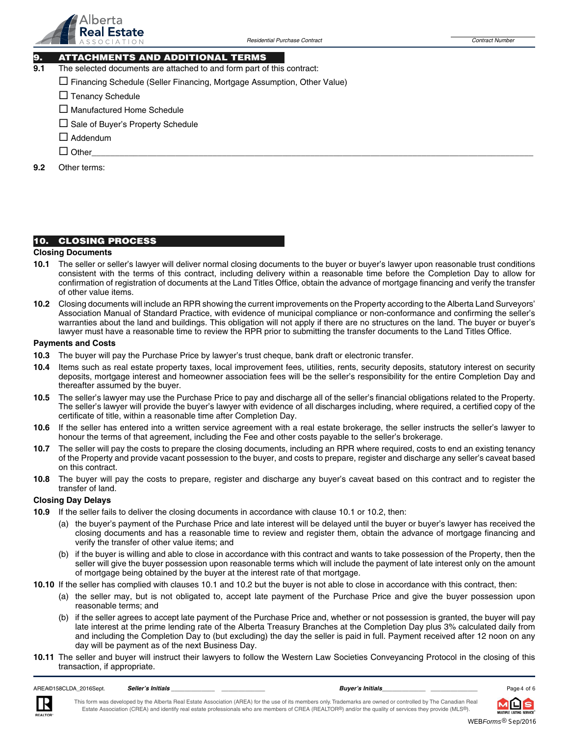

# **9. ATTACHMENTS AND ADDITIONAL TERMS**

**9.1** The selected documents are attached to and form part of this contract:

- Financing Schedule (Seller Financing, Mortgage Assumption, Other Value)
- □ Tenancy Schedule
- $\square$  Manufactured Home Schedule
- Sale of Buyer's Property Schedule
- □ Addendum
- $\Box$  Other Other\_\_\_\_\_\_\_\_\_\_\_\_\_\_\_\_\_\_\_\_\_\_\_\_\_\_\_\_\_\_\_\_\_\_\_\_\_\_\_\_\_\_\_\_\_\_\_\_\_\_\_\_\_\_\_\_\_\_\_\_\_\_\_\_\_\_\_\_\_\_\_\_\_\_\_\_\_\_\_\_\_\_\_\_\_\_\_\_\_\_\_\_\_\_\_

**9.2** Other terms:

# **10. CLOSING PROCESS**

#### **Closing Documents**

- **10.1** The seller or seller's lawyer will deliver normal closing documents to the buyer or buyer's lawyer upon reasonable trust conditions consistent with the terms of this contract, including delivery within a reasonable time before the Completion Day to allow for confirmation of registration of documents at the Land Titles Office, obtain the advance of mortgage financing and verify the transfer of other value items.
- **10.2** Closing documents will include an RPR showing the current improvements on the Property according to the Alberta Land Surveyors' Association Manual of Standard Practice, with evidence of municipal compliance or non-conformance and confirming the seller's warranties about the land and buildings. This obligation will not apply if there are no structures on the land. The buyer or buyer's lawyer must have a reasonable time to review the RPR prior to submitting the transfer documents to the Land Titles Office.

# **Payments and Costs**

- **10.3** The buyer will pay the Purchase Price by lawyer's trust cheque, bank draft or electronic transfer.
- **10.4** Items such as real estate property taxes, local improvement fees, utilities, rents, security deposits, statutory interest on security deposits, mortgage interest and homeowner association fees will be the seller's responsibility for the entire Completion Day and thereafter assumed by the buyer.
- **10.5** The seller's lawyer may use the Purchase Price to pay and discharge all of the seller's financial obligations related to the Property. The seller's lawyer will provide the buyer's lawyer with evidence of all discharges including, where required, a certified copy of the certificate of title, within a reasonable time after Completion Day.
- **10.6** If the seller has entered into a written service agreement with a real estate brokerage, the seller instructs the seller's lawyer to honour the terms of that agreement, including the Fee and other costs payable to the seller's brokerage.
- **10.7** The seller will pay the costs to prepare the closing documents, including an RPR where required, costs to end an existing tenancy of the Property and provide vacant possession to the buyer, and costs to prepare, register and discharge any seller's caveat based on this contract.
- **10.8** The buyer will pay the costs to prepare, register and discharge any buyer's caveat based on this contract and to register the transfer of land.

# **Closing Day Delays**

- **10.9** If the seller fails to deliver the closing documents in accordance with clause 10.1 or 10.2, then:
	- (a) the buyer's payment of the Purchase Price and late interest will be delayed until the buyer or buyer's lawyer has received the closing documents and has a reasonable time to review and register them, obtain the advance of mortgage financing and verify the transfer of other value items; and
	- (b) if the buyer is willing and able to close in accordance with this contract and wants to take possession of the Property, then the seller will give the buyer possession upon reasonable terms which will include the payment of late interest only on the amount of mortgage being obtained by the buyer at the interest rate of that mortgage.
- **10.10** If the seller has complied with clauses 10.1 and 10.2 but the buyer is not able to close in accordance with this contract, then:
	- (a) the seller may, but is not obligated to, accept late payment of the Purchase Price and give the buyer possession upon reasonable terms; and
	- (b) if the seller agrees to accept late payment of the Purchase Price and, whether or not possession is granted, the buyer will pay late interest at the prime lending rate of the Alberta Treasury Branches at the Completion Day plus 3% calculated daily from and including the Completion Day to (but excluding) the day the seller is paid in full. Payment received after 12 noon on any day will be payment as of the next Business Day.
- **10.11** The seller and buyer will instruct their lawyers to follow the Western Law Societies Conveyancing Protocol in the closing of this transaction, if appropriate.



*Seller's Initials \_\_\_\_\_\_\_\_\_\_\_\_\_ \_\_\_\_\_\_\_\_\_\_\_\_\_ Buyer's Initials\_\_\_\_\_\_\_\_\_\_\_\_\_ \_\_\_\_\_\_\_\_\_\_\_\_\_\_*



Ś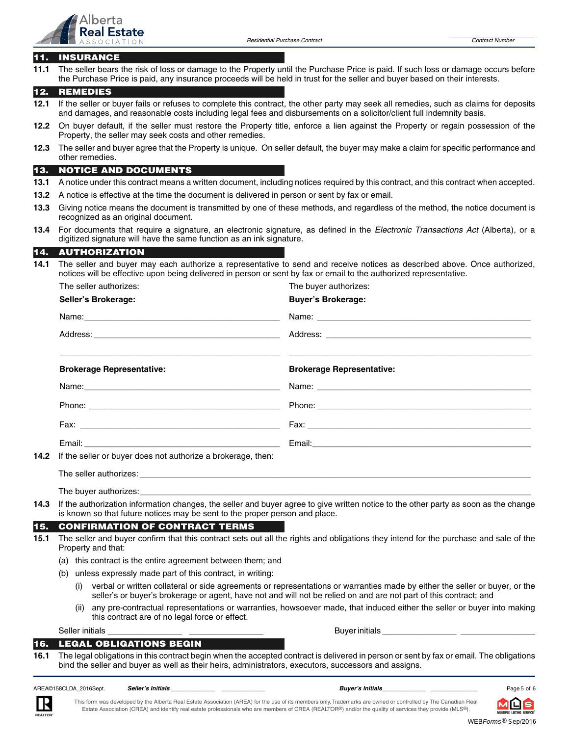

# **11. INSURANCE**

**11.1** The seller bears the risk of loss or damage to the Property until the Purchase Price is paid. If such loss or damage occurs before the Purchase Price is paid, any insurance proceeds will be held in trust for the seller and buyer based on their interests.

# **12. REMEDIES**

- **12.1** If the seller or buyer fails or refuses to complete this contract, the other party may seek all remedies, such as claims for deposits and damages, and reasonable costs including legal fees and disbursements on a solicitor/client full indemnity basis.
- **12.2** On buyer default, if the seller must restore the Property title, enforce a lien against the Property or regain possession of the Property, the seller may seek costs and other remedies.
- **12.3** The seller and buyer agree that the Property is unique. On seller default, the buyer may make a claim for specific performance and other remedies.

# **13. NOTICE AND DOCUMENTS**

- **13.1** A notice under this contract means a written document, including notices required by this contract, and this contract when accepted.
- **13.2** A notice is effective at the time the document is delivered in person or sent by fax or email.

The seller authorizes: The buyer authorizes:

- **13.3** Giving notice means the document is transmitted by one of these methods, and regardless of the method, the notice document is recognized as an original document.
- **13.4** For documents that require a signature, an electronic signature, as defined in the Electronic Transactions Act (Alberta), or a digitized signature will have the same function as an ink signature.

#### **14. AUTHORIZATION**

**14.1** The seller and buyer may each authorize a representative to send and receive notices as described above. Once authorized, notices will be effective upon being delivered in person or sent by fax or email to the authorized representative.

| THE SEITEL QUITIONLES.                                            | THE DUVEL QUITOTIZES.            |
|-------------------------------------------------------------------|----------------------------------|
| Seller's Brokerage:                                               | <b>Buyer's Brokerage:</b>        |
|                                                                   |                                  |
|                                                                   |                                  |
| <b>Brokerage Representative:</b>                                  | <b>Brokerage Representative:</b> |
|                                                                   |                                  |
|                                                                   |                                  |
|                                                                   |                                  |
|                                                                   |                                  |
| 14.2 If the seller or buyer does not authorize a brokerage, then: |                                  |
|                                                                   |                                  |

The buyer authorizes:

**14.3** If the authorization information changes, the seller and buyer agree to give written notice to the other party as soon as the change is known so that future notices may be sent to the proper person and place.

### **15. CONFIRMATION OF CONTRACT TERMS**

- **15.1** The seller and buyer confirm that this contract sets out all the rights and obligations they intend for the purchase and sale of the Property and that:
	- (a) this contract is the entire agreement between them; and
	- (b) unless expressly made part of this contract, in writing:
		- (i) verbal or written collateral or side agreements or representations or warranties made by either the seller or buyer, or the seller's or buyer's brokerage or agent, have not and will not be relied on and are not part of this contract; and
		- (ii) any pre-contractual representations or warranties, howsoever made, that induced either the seller or buyer into making this contract are of no legal force or effect.

Seller initials \_\_\_\_\_\_\_\_\_\_\_\_\_\_\_\_ \_\_\_\_\_\_\_\_\_\_\_\_\_\_\_\_ Buyer initials \_\_\_\_\_\_\_\_\_\_\_\_\_\_\_\_ \_\_\_\_\_\_\_\_\_\_\_\_\_\_\_\_

# **16. LEGAL OBLIGATIONS BEGIN**

**16.1** The legal obligations in this contract begin when the accepted contract is delivered in person or sent by fax or email. The obligations bind the seller and buyer as well as their heirs, administrators, executors, successors and assigns.

AREA©158CLDA\_2016Sept. **Seller's Initials** 

# *Seller's Initials \_\_\_\_\_\_\_\_\_\_\_\_\_ \_\_\_\_\_\_\_\_\_\_\_\_\_ Buyer's Initials\_\_\_\_\_\_\_\_\_\_\_\_\_ \_\_\_\_\_\_\_\_\_\_\_\_\_\_*